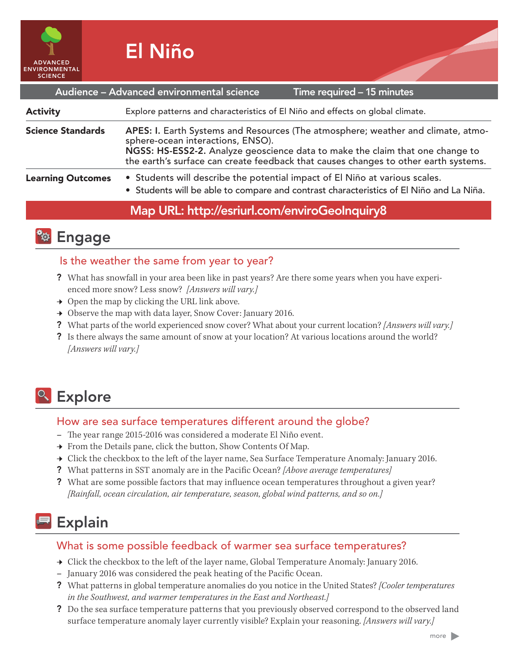

| Audience - Advanced environmental science<br>Time required - 15 minutes |                                                                                                                                                                                                                                                                                               |
|-------------------------------------------------------------------------|-----------------------------------------------------------------------------------------------------------------------------------------------------------------------------------------------------------------------------------------------------------------------------------------------|
| <b>Activity</b>                                                         | Explore patterns and characteristics of El Niño and effects on global climate.                                                                                                                                                                                                                |
| <b>Science Standards</b>                                                | APES: I. Earth Systems and Resources (The atmosphere; weather and climate, atmo-<br>sphere-ocean interactions, ENSO).<br>NGSS: HS-ESS2-2. Analyze geoscience data to make the claim that one change to<br>the earth's surface can create feedback that causes changes to other earth systems. |
| <b>Learning Outcomes</b>                                                | • Students will describe the potential impact of El Niño at various scales.<br>• Students will be able to compare and contrast characteristics of El Niño and La Niña.                                                                                                                        |

## Map URL: http://esriurl.com/enviroGeoInquiry8



## Is the weather the same from year to year?

- ? What has snowfall in your area been like in past years? Are there some years when you have experienced more snow? Less snow? *[Answers will vary.]*
- $\rightarrow$  Open the map by clicking the URL link above.
- **→** Observe the map with data layer, Snow Cover: January 2016.
- ? What parts of the world experienced snow cover? What about your current location? *[Answers will vary.]*
- ? Is there always the same amount of snow at your location? At various locations around the world? *[Answers will vary.]*

# <sup>o</sup> Explore

## How are sea surface temperatures different around the globe?

- **–** The year range 2015-2016 was considered a moderate El Niño event.
- → From the Details pane, click the button, Show Contents Of Map.
- → Click the checkbox to the left of the layer name, Sea Surface Temperature Anomaly: January 2016.
- ? What patterns in SST anomaly are in the Pacific Ocean? *[Above average temperatures]*
- ? What are some possible factors that may influence ocean temperatures throughout a given year? *[Rainfall, ocean circulation, air temperature, season, global wind patterns, and so on.]*

# Explain

## What is some possible feedback of warmer sea surface temperatures?

- → Click the checkbox to the left of the layer name, Global Temperature Anomaly: January 2016.
- **–** January 2016 was considered the peak heating of the Pacific Ocean.
- ? What patterns in global temperature anomalies do you notice in the United States? *[Cooler temperatures in the Southwest, and warmer temperatures in the East and Northeast.]*
- ? Do the sea surface temperature patterns that you previously observed correspond to the observed land surface temperature anomaly layer currently visible? Explain your reasoning. *[Answers will vary.]*